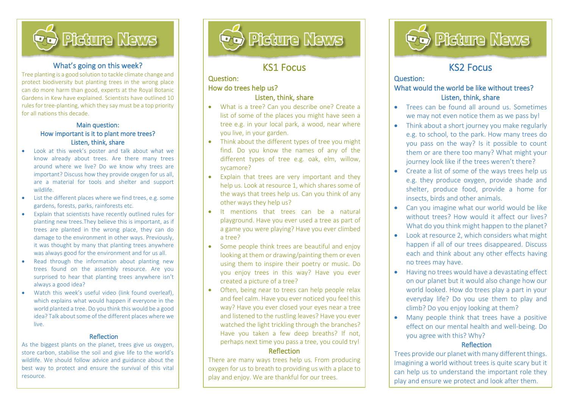

## What's going on this week?

Tree planting is a good solution to tackle climate change and protect biodiversity but planting trees in the wrong place can do more harm than good, experts at the Royal Botanic Gardens in Kew have explained. Scientists have outlined 10 rules for tree-planting, which they say must be a top priority for all nations this decade.

#### Main question: How important is it to plant more trees? Listen, think, share

- Look at this week's poster and talk about what we know already about trees. Are there many trees around where we live? Do we know why trees are important? Discuss how they provide oxygen for us all, are a material for tools and shelter and support wildlife.
- List the different places where we find trees, e.g. some gardens, forests, parks, rainforests etc.
- Explain that scientists have recently outlined rules for planting new trees.They believe this is important, as if trees are planted in the wrong place, they can do damage to the environment in other ways. Previously, it was thought by many that planting trees anywhere was always good for the environment and for us all.
- Read through the information about planting new trees found on the assembly resource. Are you surprised to hear that planting trees anywhere isn't always a good idea?
- Watch this week's useful video (link found overleaf), which explains what would happen if everyone in the world planted a tree. Do you think this would be a good idea? Talk about some of the different places where we live.

#### Reflection

As the biggest plants on the planet, trees give us oxygen, store carbon, stabilise the soil and give life to the world's wildlife. We should follow advice and guidance about the best way to protect and ensure the survival of this vital resource.



# KS1 Focus

l

## Question: How do trees help us?

İ,

#### Listen, think, share

- What is a tree? Can you describe one? Create a list of some of the places you might have seen a tree e.g. in your local park, a wood, near where you live, in your garden.
- Think about the different types of tree you might find. Do you know the names of any of the different types of tree e.g. oak, elm, willow, sycamore?
- Explain that trees are very important and they help us. Look at resource 1, which shares some of the ways that trees help us. Can you think of any other ways they help us?
- It mentions that trees can be a natural playground. Have you ever used a tree as part of a game you were playing? Have you ever climbed a tree?
- Some people think trees are beautiful and enjoy looking at them or drawing/painting them or even using them to inspire their poetry or music. Do you enjoy trees in this way? Have you ever created a picture of a tree?
- Often, being near to trees can help people relax and feel calm. Have you ever noticed you feel this way? Have you ever closed your eyes near a tree and listened to the rustling leaves? Have you ever watched the light trickling through the branches? Have you taken a few deep breaths? If not, perhaps next time you pass a tree, you could try! Reflection

There are many ways trees help us. From producing oxygen for us to breath to providing us with a place to play and enjoy. We are thankful for our trees.



# KS2 Focus

l

## Question: What would the world be like without trees? Listen, think, share

- Trees can be found all around us. Sometimes we may not even notice them as we pass by!
- Think about a short journey you make regularly e.g. to school, to the park. How many trees do you pass on the way? Is it possible to count them or are there too many? What might your journey look like if the trees weren't there?
- Create a list of some of the ways trees help us e.g. they produce oxygen, provide shade and shelter, produce food, provide a home for insects, birds and other animals.
- Can you imagine what our world would be like without trees? How would it affect our lives? What do you think might happen to the planet?
- Look at resource 2, which considers what might happen if all of our trees disappeared. Discuss each and think about any other effects having no trees may have.
- Having no trees would have a devastating effect on our planet but it would also change how our world looked. How do trees play a part in your everyday life? Do you use them to play and climb? Do you enjoy looking at them?
- Many people think that trees have a positive effect on our mental health and well-being. Do you agree with this? Why?

### Reflection

Trees provide our planet with many different things. Imagining a world without trees is quite scary but it can help us to understand the important role they play and ensure we protect and look after them.